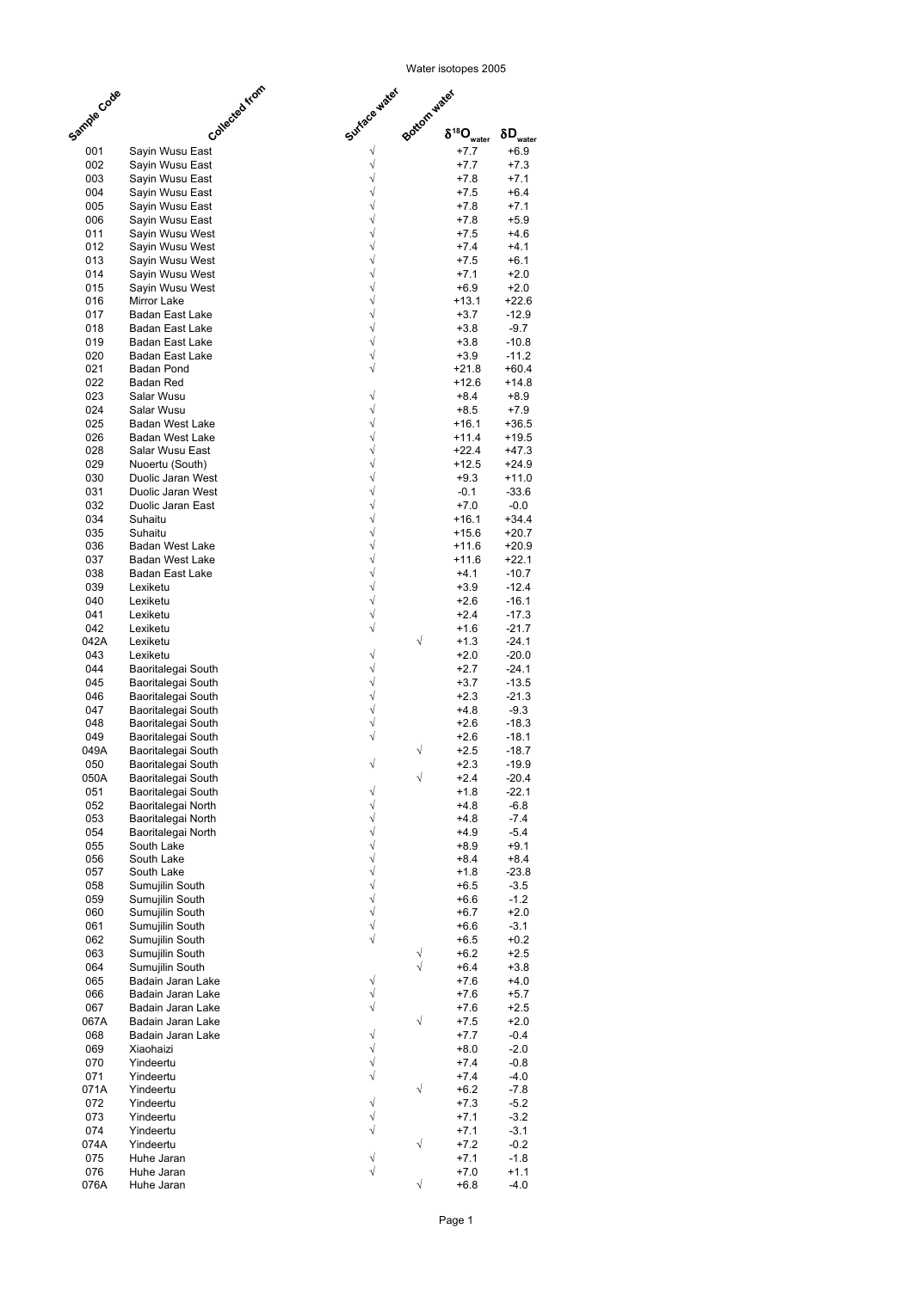Page 1

Water isotopes 2005 √ +7.7 +6.9 Sayin Wusu East √ +7.7 +7.3 Sayin Wusu East √ +7.8 +7.1 Sayin Wusu East √ +7.5 +6.4 Sayin Wusu East √ +7.8 +7.1 Sayin Wusu East √ +7.8 +5.9 Sayin Wusu East √ +7.5 +4.6 Sayin Wusu West √ +7.4 +4.1 Sayin Wusu West √ +7.5 +6.1 Sayin Wusu West √ +7.1 +2.0 Sayin Wusu West √ +6.9 +2.0 Sayin Wusu West 016 Mirror Lake → ↓ ↓ ↓ ↓13.1 +22.6 √ +3.7 -12.9 Badan East Lake √ +3.8 -9.7 Badan East Lake √ +3.8 -10.8 Badan East Lake √ +3.9 -11.2 Badan East Lake √ +21.8 +60.4 Badan Pond +12.6 +14.8 Badan Red √ +8.4 +8.9 Salar Wusu √ +8.5 +7.9 Salar Wusu √ +16.1 +36.5 Badan West Lake √ +11.4 +19.5 Badan West Lake √ +22.4 +47.3 Salar Wusu East √ +12.5 +24.9 Nuoertu (South) √ +9.3 +11.0 Duolic Jaran West √ -0.1 -33.6 Duolic Jaran West √ +7.0 -0.0 Duolic Jaran East √ +16.1 +34.4 √ +15.6 +20.7 √ +11.6 +20.9 Badan West Lake √ +11.6 +22.1 Badan West Lake √ +4.1 -10.7 Badan East Lake √ +3.9 -12.4 √ +2.6 -16.1 √ +2.4 -17.3 √ +1.6 -21.7 042A Lexiketu  $\sqrt{}$  +1.3 -24.1 √ +2.0 -20.0 √ +2.7 -24.1 Baoritalegai South √ +3.7 -13.5 Baoritalegai South √ +2.3 -21.3 Baoritalegai South √ +4.8 -9.3 Baoritalegai South √ +2.6 -18.3 Baoritalegai South √ +2.6 -18.1 Baoritalegai South 049A √ +2.5 -18.7 Baoritalegai South √ +2.3 -19.9 Baoritalegai South 050A √ +2.4 -20.4 Baoritalegai South √ +1.8 -22.1 Baoritalegai South √ +4.8 -6.8 Baoritalegai North √ +4.8 -7.4 Baoritalegai North √ +4.9 -5.4 Baoritalegai North 055 South Lake  $\sqrt{}$  +8.9 +9.1 056 South Lake  $\sqrt{}$  +8.4 +8.4 +8.4 057 South Lake  $\sqrt{}$  +1.8 -23.8 √ +6.5 -3.5 Sumujilin South √ +6.6 -1.2 Sumujilin South √ +6.7 +2.0 Sumujilin South √ +6.6 -3.1 Sumujilin South √ +6.5 +0.2 Sumujilin South √ +6.2 +2.5 Sumujilin South √ +6.4 +3.8 Sumujilin South **Bottom water** $\delta^{18}O_{\text{water}}$   $\delta D_{\text{water}}$ Suhaitu Suhaitu Lexiketu Lexiketu Lexiketu Lexiketu Lexiketu Lexiketu Sample Code **Collected from** Surface water

| 065  | Badain Jaran Lake |   | $+7.6$ | $+4.0$ |
|------|-------------------|---|--------|--------|
| 066  | Badain Jaran Lake |   | $+7.6$ | $+5.7$ |
| 067  | Badain Jaran Lake |   | $+7.6$ | $+2.5$ |
| 067A | Badain Jaran Lake | V | $+7.5$ | $+2.0$ |
| 068  | Badain Jaran Lake |   | $+7.7$ | $-0.4$ |
| 069  | Xiaohaizi         |   | $+8.0$ | $-2.0$ |
| 070  | Yindeertu         |   | $+7.4$ | $-0.8$ |
| 071  | Yindeertu         |   | $+7.4$ | $-4.0$ |
| 071A | Yindeertu         | V | $+6.2$ | $-7.8$ |
| 072  | Yindeertu         |   | $+7.3$ | $-5.2$ |
| 073  | Yindeertu         |   | $+7.1$ | $-3.2$ |
| 074  | Yindeertu         |   | $+7.1$ | $-3.1$ |
| 074A | Yindeertu         | V | $+7.2$ | $-0.2$ |
| 075  | Huhe Jaran        |   | $+7.1$ | $-1.8$ |
| 076  | Huhe Jaran        |   | $+7.0$ | $+1.1$ |
| 076A | Huhe Jaran        |   | $+6.8$ | $-4.0$ |